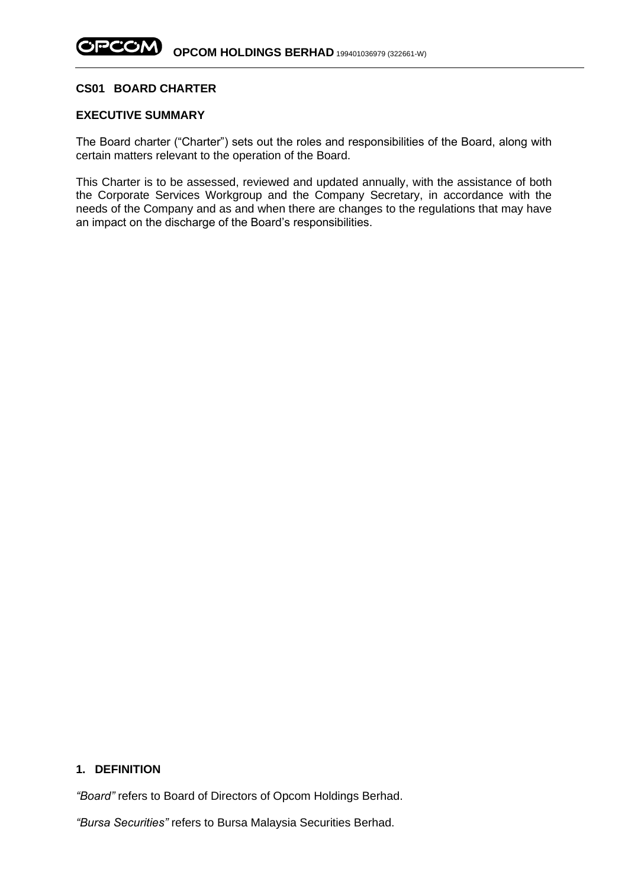### **CS01 BOARD CHARTER**

### **EXECUTIVE SUMMARY**

The Board charter ("Charter") sets out the roles and responsibilities of the Board, along with certain matters relevant to the operation of the Board.

This Charter is to be assessed, reviewed and updated annually, with the assistance of both the Corporate Services Workgroup and the Company Secretary, in accordance with the needs of the Company and as and when there are changes to the regulations that may have an impact on the discharge of the Board's responsibilities.

## **1. DEFINITION**

*"Board"* refers to Board of Directors of Opcom Holdings Berhad.

*"Bursa Securities"* refers to Bursa Malaysia Securities Berhad.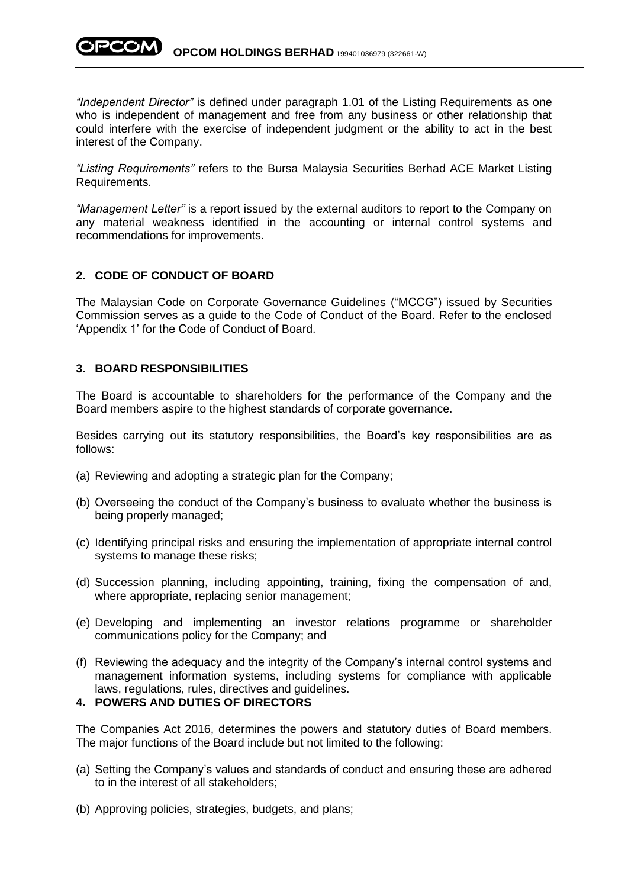*"Independent Director"* is defined under paragraph 1.01 of the Listing Requirements as one who is independent of management and free from any business or other relationship that could interfere with the exercise of independent judgment or the ability to act in the best interest of the Company.

*"Listing Requirements"* refers to the Bursa Malaysia Securities Berhad ACE Market Listing Requirements.

*"Management Letter"* is a report issued by the external auditors to report to the Company on any material weakness identified in the accounting or internal control systems and recommendations for improvements.

# **2. CODE OF CONDUCT OF BOARD**

The Malaysian Code on Corporate Governance Guidelines ("MCCG") issued by Securities Commission serves as a guide to the Code of Conduct of the Board. Refer to the enclosed 'Appendix 1' for the Code of Conduct of Board.

# **3. BOARD RESPONSIBILITIES**

The Board is accountable to shareholders for the performance of the Company and the Board members aspire to the highest standards of corporate governance.

Besides carrying out its statutory responsibilities, the Board's key responsibilities are as follows:

- (a) Reviewing and adopting a strategic plan for the Company;
- (b) Overseeing the conduct of the Company's business to evaluate whether the business is being properly managed;
- (c) Identifying principal risks and ensuring the implementation of appropriate internal control systems to manage these risks;
- (d) Succession planning, including appointing, training, fixing the compensation of and, where appropriate, replacing senior management;
- (e) Developing and implementing an investor relations programme or shareholder communications policy for the Company; and
- (f) Reviewing the adequacy and the integrity of the Company's internal control systems and management information systems, including systems for compliance with applicable laws, regulations, rules, directives and guidelines.

# **4. POWERS AND DUTIES OF DIRECTORS**

The Companies Act 2016, determines the powers and statutory duties of Board members. The major functions of the Board include but not limited to the following:

- (a) Setting the Company's values and standards of conduct and ensuring these are adhered to in the interest of all stakeholders;
- (b) Approving policies, strategies, budgets, and plans;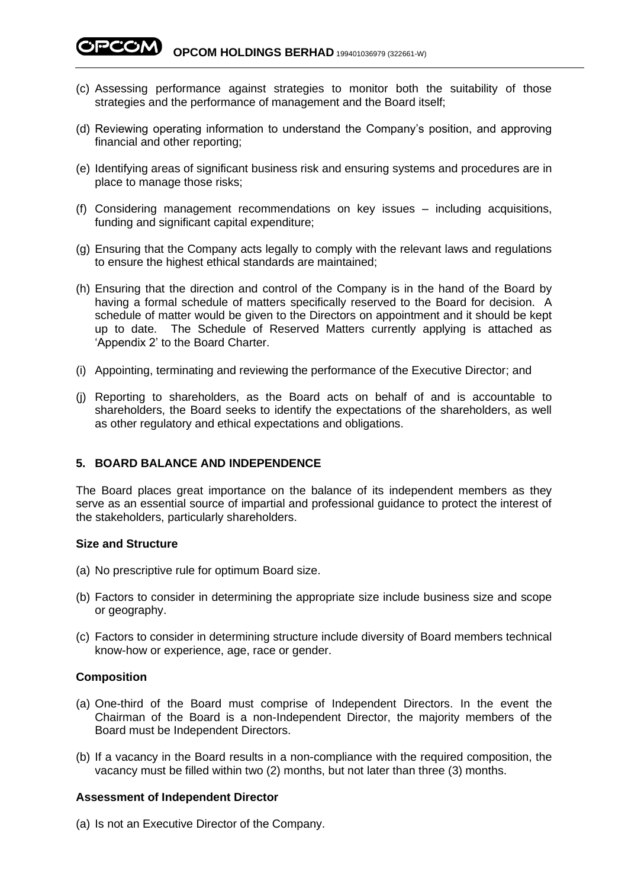- (c) Assessing performance against strategies to monitor both the suitability of those strategies and the performance of management and the Board itself;
- (d) Reviewing operating information to understand the Company's position, and approving financial and other reporting;
- (e) Identifying areas of significant business risk and ensuring systems and procedures are in place to manage those risks;
- (f) Considering management recommendations on key issues including acquisitions, funding and significant capital expenditure;
- (g) Ensuring that the Company acts legally to comply with the relevant laws and regulations to ensure the highest ethical standards are maintained;
- (h) Ensuring that the direction and control of the Company is in the hand of the Board by having a formal schedule of matters specifically reserved to the Board for decision. A schedule of matter would be given to the Directors on appointment and it should be kept up to date. The Schedule of Reserved Matters currently applying is attached as 'Appendix 2' to the Board Charter.
- (i) Appointing, terminating and reviewing the performance of the Executive Director; and
- (j) Reporting to shareholders, as the Board acts on behalf of and is accountable to shareholders, the Board seeks to identify the expectations of the shareholders, as well as other regulatory and ethical expectations and obligations.

### **5. BOARD BALANCE AND INDEPENDENCE**

The Board places great importance on the balance of its independent members as they serve as an essential source of impartial and professional guidance to protect the interest of the stakeholders, particularly shareholders.

### **Size and Structure**

- (a) No prescriptive rule for optimum Board size.
- (b) Factors to consider in determining the appropriate size include business size and scope or geography.
- (c) Factors to consider in determining structure include diversity of Board members technical know-how or experience, age, race or gender.

### **Composition**

- (a) One-third of the Board must comprise of Independent Directors. In the event the Chairman of the Board is a non-Independent Director, the majority members of the Board must be Independent Directors.
- (b) If a vacancy in the Board results in a non-compliance with the required composition, the vacancy must be filled within two (2) months, but not later than three (3) months.

### **Assessment of Independent Director**

(a) Is not an Executive Director of the Company.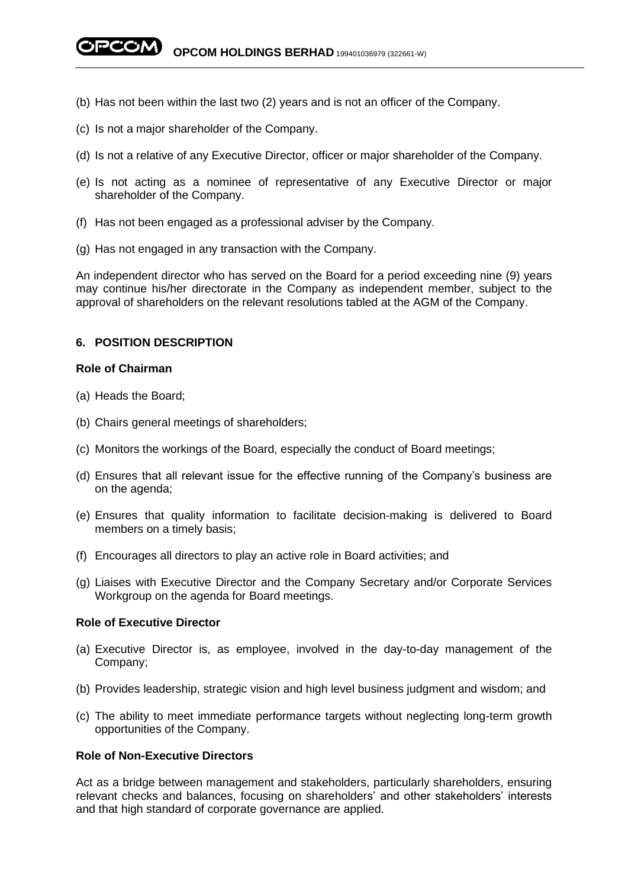- (b) Has not been within the last two (2) years and is not an officer of the Company.
- (c) Is not a major shareholder of the Company.
- (d) Is not a relative of any Executive Director, officer or major shareholder of the Company.
- (e) Is not acting as a nominee of representative of any Executive Director or major shareholder of the Company.
- (f) Has not been engaged as a professional adviser by the Company.
- (g) Has not engaged in any transaction with the Company.

An independent director who has served on the Board for a period exceeding nine (9) years may continue his/her directorate in the Company as independent member, subject to the approval of shareholders on the relevant resolutions tabled at the AGM of the Company.

## **6. POSITION DESCRIPTION**

### **Role of Chairman**

- (a) Heads the Board;
- (b) Chairs general meetings of shareholders;
- (c) Monitors the workings of the Board, especially the conduct of Board meetings;
- (d) Ensures that all relevant issue for the effective running of the Company's business are on the agenda;
- (e) Ensures that quality information to facilitate decision-making is delivered to Board members on a timely basis;
- (f) Encourages all directors to play an active role in Board activities; and
- (g) Liaises with Executive Director and the Company Secretary and/or Corporate Services Workgroup on the agenda for Board meetings.

## **Role of Executive Director**

- (a) Executive Director is, as employee, involved in the day-to-day management of the Company;
- (b) Provides leadership, strategic vision and high level business judgment and wisdom; and
- (c) The ability to meet immediate performance targets without neglecting long-term growth opportunities of the Company.

## **Role of Non-Executive Directors**

Act as a bridge between management and stakeholders, particularly shareholders, ensuring relevant checks and balances, focusing on shareholders' and other stakeholders' interests and that high standard of corporate governance are applied.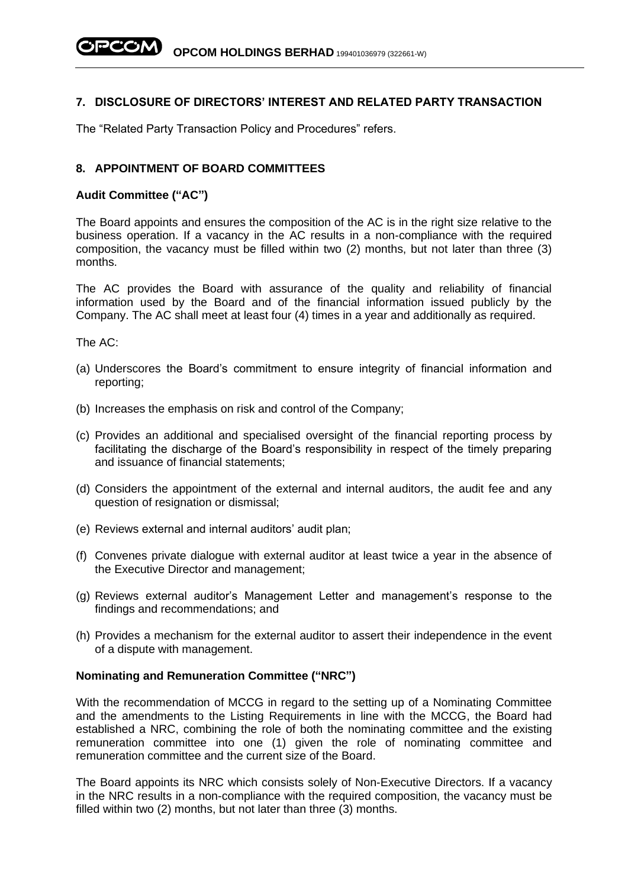## **7. DISCLOSURE OF DIRECTORS' INTEREST AND RELATED PARTY TRANSACTION**

The "Related Party Transaction Policy and Procedures" refers.

# **8. APPOINTMENT OF BOARD COMMITTEES**

### **Audit Committee ("AC")**

The Board appoints and ensures the composition of the AC is in the right size relative to the business operation. If a vacancy in the AC results in a non-compliance with the required composition, the vacancy must be filled within two (2) months, but not later than three (3) months.

The AC provides the Board with assurance of the quality and reliability of financial information used by the Board and of the financial information issued publicly by the Company. The AC shall meet at least four (4) times in a year and additionally as required.

The AC:

- (a) Underscores the Board's commitment to ensure integrity of financial information and reporting;
- (b) Increases the emphasis on risk and control of the Company;
- (c) Provides an additional and specialised oversight of the financial reporting process by facilitating the discharge of the Board's responsibility in respect of the timely preparing and issuance of financial statements;
- (d) Considers the appointment of the external and internal auditors, the audit fee and any question of resignation or dismissal;
- (e) Reviews external and internal auditors' audit plan;
- (f) Convenes private dialogue with external auditor at least twice a year in the absence of the Executive Director and management;
- (g) Reviews external auditor's Management Letter and management's response to the findings and recommendations; and
- (h) Provides a mechanism for the external auditor to assert their independence in the event of a dispute with management.

### **Nominating and Remuneration Committee ("NRC")**

With the recommendation of MCCG in regard to the setting up of a Nominating Committee and the amendments to the Listing Requirements in line with the MCCG, the Board had established a NRC, combining the role of both the nominating committee and the existing remuneration committee into one (1) given the role of nominating committee and remuneration committee and the current size of the Board.

The Board appoints its NRC which consists solely of Non-Executive Directors. If a vacancy in the NRC results in a non-compliance with the required composition, the vacancy must be filled within two (2) months, but not later than three (3) months.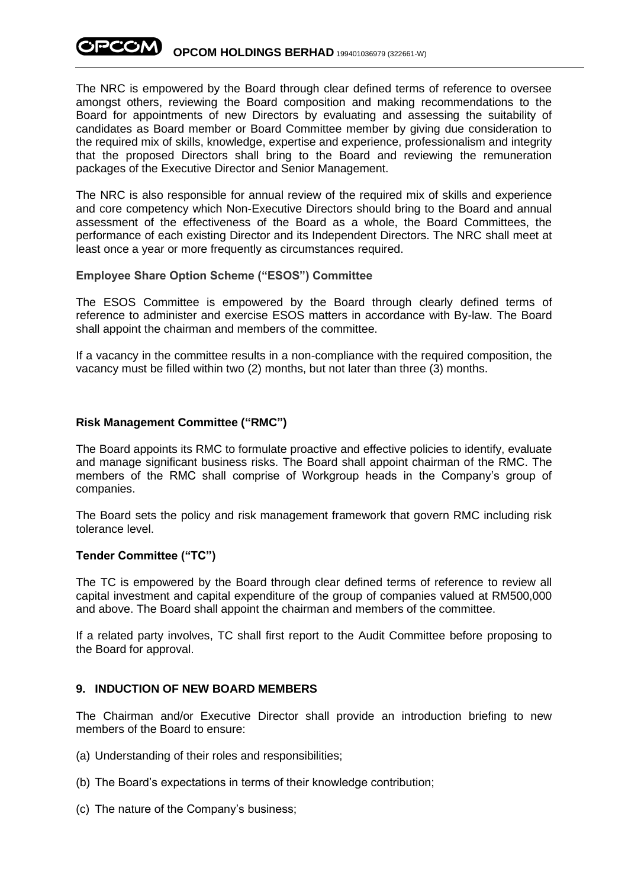

The NRC is empowered by the Board through clear defined terms of reference to oversee amongst others, reviewing the Board composition and making recommendations to the Board for appointments of new Directors by evaluating and assessing the suitability of candidates as Board member or Board Committee member by giving due consideration to the required mix of skills, knowledge, expertise and experience, professionalism and integrity that the proposed Directors shall bring to the Board and reviewing the remuneration packages of the Executive Director and Senior Management.

The NRC is also responsible for annual review of the required mix of skills and experience and core competency which Non-Executive Directors should bring to the Board and annual assessment of the effectiveness of the Board as a whole, the Board Committees, the performance of each existing Director and its Independent Directors. The NRC shall meet at least once a year or more frequently as circumstances required.

## **Employee Share Option Scheme ("ESOS") Committee**

The ESOS Committee is empowered by the Board through clearly defined terms of reference to administer and exercise ESOS matters in accordance with By-law. The Board shall appoint the chairman and members of the committee.

If a vacancy in the committee results in a non-compliance with the required composition, the vacancy must be filled within two (2) months, but not later than three (3) months.

## **Risk Management Committee ("RMC")**

The Board appoints its RMC to formulate proactive and effective policies to identify, evaluate and manage significant business risks. The Board shall appoint chairman of the RMC. The members of the RMC shall comprise of Workgroup heads in the Company's group of companies.

The Board sets the policy and risk management framework that govern RMC including risk tolerance level.

### **Tender Committee ("TC")**

The TC is empowered by the Board through clear defined terms of reference to review all capital investment and capital expenditure of the group of companies valued at RM500,000 and above. The Board shall appoint the chairman and members of the committee.

If a related party involves, TC shall first report to the Audit Committee before proposing to the Board for approval.

## **9. INDUCTION OF NEW BOARD MEMBERS**

The Chairman and/or Executive Director shall provide an introduction briefing to new members of the Board to ensure:

- (a) Understanding of their roles and responsibilities;
- (b) The Board's expectations in terms of their knowledge contribution;
- (c) The nature of the Company's business;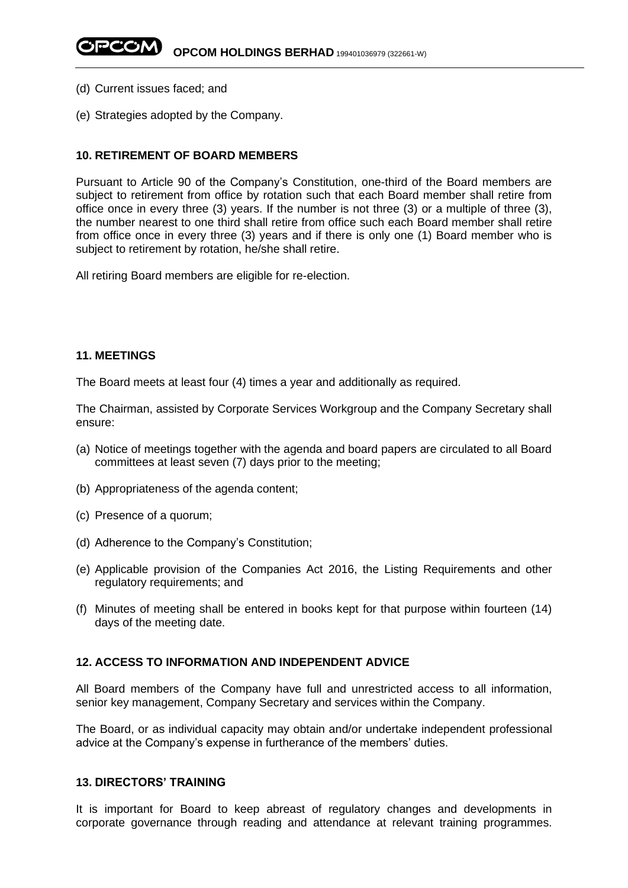- (d) Current issues faced; and
- (e) Strategies adopted by the Company.

#### **10. RETIREMENT OF BOARD MEMBERS**

Pursuant to Article 90 of the Company's Constitution, one-third of the Board members are subject to retirement from office by rotation such that each Board member shall retire from office once in every three (3) years. If the number is not three (3) or a multiple of three (3), the number nearest to one third shall retire from office such each Board member shall retire from office once in every three (3) years and if there is only one (1) Board member who is subject to retirement by rotation, he/she shall retire.

All retiring Board members are eligible for re-election.

### **11. MEETINGS**

The Board meets at least four (4) times a year and additionally as required.

The Chairman, assisted by Corporate Services Workgroup and the Company Secretary shall ensure:

- (a) Notice of meetings together with the agenda and board papers are circulated to all Board committees at least seven (7) days prior to the meeting;
- (b) Appropriateness of the agenda content;
- (c) Presence of a quorum;
- (d) Adherence to the Company's Constitution;
- (e) Applicable provision of the Companies Act 2016, the Listing Requirements and other regulatory requirements; and
- (f) Minutes of meeting shall be entered in books kept for that purpose within fourteen (14) days of the meeting date.

#### **12. ACCESS TO INFORMATION AND INDEPENDENT ADVICE**

All Board members of the Company have full and unrestricted access to all information, senior key management, Company Secretary and services within the Company.

The Board, or as individual capacity may obtain and/or undertake independent professional advice at the Company's expense in furtherance of the members' duties.

### **13. DIRECTORS' TRAINING**

It is important for Board to keep abreast of regulatory changes and developments in corporate governance through reading and attendance at relevant training programmes.